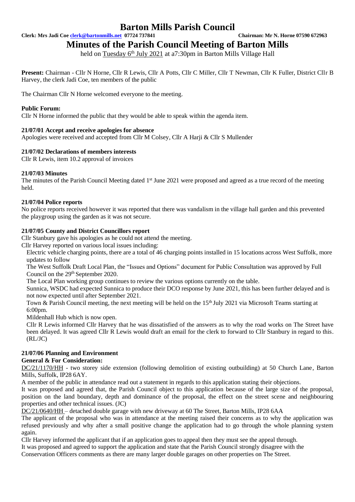**Clerk: Mrs Jadi Coe [clerk@bartonmills.net](mailto:clerk@bartonmills.net) 07724 737841 Chairman: Mr N. Horne 07590 672963**

**Minutes of the Parish Council Meeting of Barton Mills** 

held on Tuesday 6<sup>th</sup> July 2021 at a7:30pm in Barton Mills Village Hall

**Present:** Chairman - Cllr N Horne, Cllr R Lewis, Cllr A Potts, Cllr C Miller, Cllr T Newman, Cllr K Fuller, District Cllr B Harvey, the clerk Jadi Coe, ten members of the public

The Chairman Cllr N Horne welcomed everyone to the meeting.

# **Public Forum:**

Cllr N Horne informed the public that they would be able to speak within the agenda item.

# **21/07/01 Accept and receive apologies for absence**

Apologies were received and accepted from Cllr M Colsey, Cllr A Harji & Cllr S Mullender

# **21/07/02 Declarations of members interests**

Cllr R Lewis, item 10.2 approval of invoices

### **21/07/03 Minutes**

The minutes of the Parish Council Meeting dated 1<sup>st</sup> June 2021 were proposed and agreed as a true record of the meeting held.

# **21/07/04 Police reports**

No police reports received however it was reported that there was vandalism in the village hall garden and this prevented the playgroup using the garden as it was not secure.

# **21/07/05 County and District Councillors report**

Cllr Stanbury gave his apologies as he could not attend the meeting.

Cllr Harvey reported on various local issues including:

Electric vehicle charging points, there are a total of 46 charging points installed in 15 locations across West Suffolk, more updates to follow

The West Suffolk Draft Local Plan, the "Issues and Options" document for Public Consultation was approved by Full Council on the 29<sup>th</sup> September 2020.

The Local Plan working group continues to review the various options currently on the table.

Sunnica, WSDC had expected Sunnica to produce their DCO response by June 2021, this has been further delayed and is not now expected until after September 2021.

Town & Parish Council meeting, the next meeting will be held on the 15<sup>th</sup> July 2021 via Microsoft Teams starting at 6:00pm.

Mildenhall Hub which is now open.

Cllr R Lewis informed Cllr Harvey that he was dissatisfied of the answers as to why the road works on The Street have been delayed. It was agreed Cllr R Lewis would draft an email for the clerk to forward to Cllr Stanbury in regard to this. (RL/JC)

### **21/07/06 Planning and Environment**

### **General & For Consideration:**

DC/21/1170/HH - two storey side extension (following demolition of existing outbuilding) at 50 Church Lane, Barton Mills, Suffolk, IP28 6AY.

A member of the public in attendance read out a statement in regards to this application stating their objections.

It was proposed and agreed that, the Parish Council object to this application because of the large size of the proposal, position on the land boundary, depth and dominance of the proposal, the effect on the street scene and neighbouring properties and other technical issues. (JC)

DC/21/0640/HH – detached double garage with new driveway at 60 The Street, Barton Mills, IP28 6AA

The applicant of the proposal who was in attendance at the meeting raised their concerns as to why the application was refused previously and why after a small positive change the application had to go through the whole planning system again.

Cllr Harvey informed the applicant that if an application goes to appeal then they must see the appeal through. It was proposed and agreed to support the application and state that the Parish Council strongly disagree with the

Conservation Officers comments as there are many larger double garages on other properties on The Street.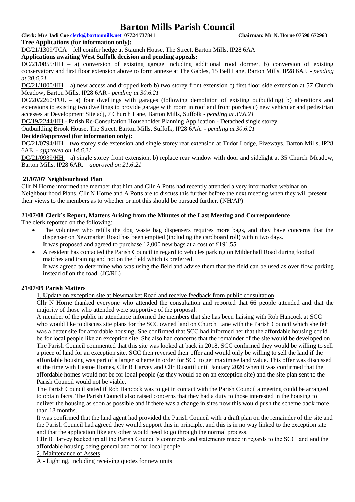**Clerk: Mrs Jadi Coe [clerk@bartonmills.net](mailto:clerk@bartonmills.net) 07724 737841 Chairman: Mr N. Horne 07590 672963**

#### **Tree Applications (for information only):**

DC/21/1309/TCA – fell conifer hedge at Staunch House, The Street, Barton Mills, IP28 6AA

#### **Applications awaiting West Suffolk decision and pending appeals:**

DC/21/0855/HH – a) conversion of existing garage including additional rood dormer, b) conversion of existing conservatory and first floor extension above to form annexe at The Gables, 15 Bell Lane, Barton Mills, IP28 6AJ. *- pending at 30.6.21*

DC/21/1000/HH – a) new access and dropped kerb b) two storey front extension c) first floor side extension at 57 Church Meadow, Barton Mills, IP28 6AR *- pending at 30.6.21*

 $DC/20/2260/FUL - a)$  four dwellings with garages (following demolition of existing outbuilding) b) alterations and extensions to existing two dwellings to provide garage with room in roof and front porches c) new vehicular and pedestrian accesses at Development Site adj, 7 Church Lane, Barton Mills, Suffolk *- pending at 30.6.21*

DC/19/2244/HH - Parish Re-Consultation Householder Planning Application - Detached single storey

Outbuilding Brook House, The Street, Barton Mills, Suffolk, IP28 6AA. **-** *pending at 30.6.21*

# **Decided/approved (for information only):**

DC/21/0794/HH – two storey side extension and single storey rear extension at Tudor Lodge, Fiveways, Barton Mills, IP28 6AE *- approved on 14.6.21*

DC/21/0939/HH – a) single storey front extension, b) replace rear window with door and sidelight at 35 Church Meadow, Barton Mills, IP28 6AR. *– approved on 21.6.21*

### **21/07/07 Neighbourhood Plan**

Cllr N Horne informed the member that him and Cllr A Potts had recently attended a very informative webinar on Neighbourhood Plans. Cllr N Horne and A Potts are to discuss this further before the next meeting when they will present their views to the members as to whether or not this should be pursued further. (NH/AP)

# **21/07/08 Clerk's Report, Matters Arising from the Minutes of the Last Meeting and Correspondence**

The clerk reported on the following:

- The volunteer who refills the dog waste bag dispensers requires more bags, and they have concerns that the dispenser on Newmarket Road has been emptied (including the cardboard roll) within two days. It was proposed and agreed to purchase 12,000 new bags at a cost of £191.55
- A resident has contacted the Parish Council in regard to vehicles parking on Mildenhall Road during football matches and training and not on the field which is preferred. It was agreed to determine who was using the field and advise them that the field can be used as over flow parking instead of on the road. (JC/RL)

### **21/07/09 Parish Matters**

1. Update on exception site at Newmarket Road and receive feedback from public consultation

Cllr N Horne thanked everyone who attended the consultation and reported that 66 people attended and that the majority of those who attended were supportive of the proposal.

A member of the public in attendance informed the members that she has been liaising with Rob Hancock at SCC who would like to discuss site plans for the SCC owned land on Church Lane with the Parish Council which she felt was a better site for affordable housing. She confirmed that SCC had informed her that the affordable housing could be for local people like an exception site. She also had concerns that the remainder of the site would be developed on. The Parish Council commented that this site was looked at back in 2018, SCC confirmed they would be willing to sell a piece of land for an exception site. SCC then reversed their offer and would only be willing to sell the land if the affordable housing was part of a larger scheme in order for SCC to get maximise land value. This offer was discussed at the time with Hastoe Homes, Cllr B Harvey and Cllr Busuttil until January 2020 when it was confirmed that the affordable homes would not be for local people (as they would be on an exception site) and the site plan sent to the Parish Council would not be viable.

The Parish Council stated if Rob Hancock was to get in contact with the Parish Council a meeting could be arranged to obtain facts. The Parish Council also raised concerns that they had a duty to those interested in the housing to deliver the housing as soon as possible and if there was a change in sites now this would push the scheme back more than 18 months.

It was confirmed that the land agent had provided the Parish Council with a draft plan on the remainder of the site and the Parish Council had agreed they would support this in principle, and this is in no way linked to the exception site and that the application like any other would need to go through the normal process.

Cllr B Harvey backed up all the Parish Council's comments and statements made in regards to the SCC land and the affordable housing being general and not for local people.

2. Maintenance of Assets

A - Lighting, including receiving quotes for new units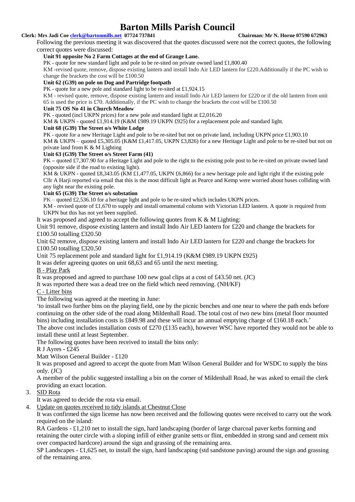#### **Clerk: Mrs Jadi Coe [clerk@bartonmills.net](mailto:clerk@bartonmills.net) 07724 737841 Chairman: Mr N. Horne 07590 672963**

Following the previous meeting it was discovered that the quotes discussed were not the correct quotes, the following correct quotes were discussed:

#### **Unit 91 opposite No 2 Farm Cottages at the end of Grange Lane.**

PK - quote for new standard light and pole to be re-sited on private owned land £1,800.40

KM -revised quote, remove, dispose existing lantern and install Indo Air LED lantern for £220.Additionally if the PC wish to change the brackets the cost will be £100.50

#### **Unit 62 (G39) on pole on Dog and Partridge footpath**

PK - quote for a new pole and standard light to be re-sited at £1,924.15

KM - revised quote, remove, dispose existing lantern and install Indo Air LED lantern for £220 or if the old lantern from unit 65 is used the price is £70. Additionally, if the PC wish to change the brackets the cost will be £100.50

#### **Unit 75 OS No 41 in Church Meadow**

PK - quoted (incl UKPN prices) for a new pole and standard light at £2,016.20

KM & UKPN - quoted £1,914.19 (K&M £989.19 UKPN £925) for a replacement pole and standard light.

#### **Unit 68 (G39) The Street o/s White Lodge**

PK - quote for a new Heritage Light and pole to be re-sited but not on private land, including UKPN price £1,903.10 KM & UKPN – quoted £5,305.05 (K&M £1,417.05, UKPN £3,826) for a new Heritage Light and pole to be re-sited but not on

private land from K & M Lighting

#### **Unit 63 (G39) The Street o/s Street Farm (41)**

PK **–** quoted £7,307.90 for a Heritage Light and pole to the right to the existing pole post to be re-sited on private owned land (opposite side if the road to existing light).

KM & UKPN - quoted £8,343.05 (KM £1,477.05, UKPN £6,866) for a new heritage pole and light right if the existing pole Cllr A Harji reported via email that this is the most difficult light as Pearce and Kemp were worried about buses colliding with any light near the existing pole.

#### **Unit 65 (G39) The Street o/s substation**

PK – quoted £2,536.10 for a heritage light and pole to be re-sited which includes UKPN prices.

KM - revised quote of £1,670 to supply and install ornamental column with Victorian LED lantern. A quote is required from UKPN but this has not yet been supplied.

It was proposed and agreed to accept the following quotes from  $K & M$  Lighting:

Unit 91 remove, dispose existing lantern and install Indo Air LED lantern for £220 and change the brackets for £100.50 totalling £320.50

Unit 62 remove, dispose existing lantern and install Indo Air LED lantern for £220 and change the brackets for £100.50 totalling £320.50

Unit 75 replacement pole and standard light for £1,914.19 (K&M £989.19 UKPN £925)

It was defer agreeing quotes on unit 68,63 and 65 until the next meeting.

### B - Play Park

It was proposed and agreed to purchase 100 new goal clips at a cost of £43.50 net. (JC)

It was reported there was a dead tree on the field which need removing. (NH/KF)

### C - Litter bins

The following was agreed at the meeting in June:

'to install two further bins on the playing field, one by the picnic benches and one near to where the path ends before continuing on the other side of the road along Mildenhall Road. The total cost of two new bins (metal floor mounted bins) including installation costs is £849.98 and these will incur an annual emptying charge of £160.18 each.'

The above cost includes installation costs of £270 (£135 each), however WSC have reported they would not be able to install these until at least September.

The following quotes have been received to install the bins only:

R J Ayres - £245

Matt Wilson General Builder - £120

It was proposed and agreed to accept the quote from Matt Wilson General Builder and for WSDC to supply the bins only. (JC)

A member of the public suggested installing a bin on the corner of Mildenhall Road, he was asked to email the clerk providing an exact location.

### 3. SID Rota

It was agreed to decide the rota via email.

4. Update on quotes received to tidy islands at Chestnut Close

It was confirmed the sign license has now been received and the following quotes were received to carry out the work required on the island:

RA Gardens - £1,210 net to install the sign, hard landscaping (border of large charcoal paver kerbs forming and retaining the outer circle with a sloping infill of either granite setts or flint, embedded in strong sand and cement mix over compacted hardcore) around the sign and grassing of the remaining area.

SP Landscapes - £1,625 net, to install the sign, hard landscaping (std sandstone paving) around the sign and grassing of the remaining area.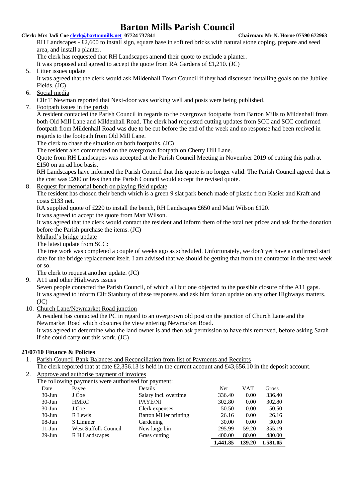# **Clerk: Mrs Jadi Coe [clerk@bartonmills.net](mailto:clerk@bartonmills.net) 07724 737841 Chairman: Mr N. Horne 07590 672963**

RH Landscapes - £2,600 to install sign, square base in soft red bricks with natural stone coping, prepare and seed area, and install a planter.

The clerk has requested that RH Landscapes amend their quote to exclude a planter.

It was proposed and agreed to accept the quote from RA Gardens of £1,210. (JC)

5. Litter issues update

It was agreed that the clerk would ask Mildenhall Town Council if they had discussed installing goals on the Jubilee Fields. (JC)

6. Social media

Cllr T Newman reported that Next-door was working well and posts were being published.

7. Footpath issues in the parish

A resident contacted the Parish Council in regards to the overgrown footpaths from Barton Mills to Mildenhall from both Old Mill Lane and Mildenhall Road. The clerk had requested cutting updates from SCC and SCC confirmed footpath from Mildenhall Road was due to be cut before the end of the week and no response had been recived in regards to the footpath from Old Mill Lane.

The clerk to chase the situation on both footpaths. (JC)

The resident also commented on the overgrown footpath on Cherry Hill Lane.

Quote from RH Landscapes was accepted at the Parish Council Meeting in November 2019 of cutting this path at £150 on an ad hoc basis.

RH Landscapes have informed the Parish Council that this quote is no longer valid. The Parish Council agreed that is the cost was £200 or less then the Parish Council would accept the revised quote.

8. Request for memorial bench on playing field update

The resident has chosen their bench which is a green 9 slat park bench made of plastic from Kasier and Kraft and costs £133 net.

RA supplied quote of £220 to install the bench, RH Landscapes £650 and Matt Wilson £120.

It was agreed to accept the quote from Matt Wilson.

It was agreed that the clerk would contact the resident and inform them of the total net prices and ask for the donation before the Parish purchase the items. (JC)

Mallard's bridge update

The latest update from SCC:

The tree work was completed a couple of weeks ago as scheduled. Unfortunately, we don't yet have a confirmed start date for the bridge replacement itself. I am advised that we should be getting that from the contractor in the next week or so.

The clerk to request another update. (JC)

9. A11 and other Highways issues

Seven people contacted the Parish Council, of which all but one objected to the possible closure of the A11 gaps. It was agreed to inform Cllr Stanbury of these responses and ask him for an update on any other Highways matters.  $(JC)$ 

10. Church Lane/Newmarket Road junction

A resident has contacted the PC in regard to an overgrown old post on the junction of Church Lane and the Newmarket Road which obscures the view entering Newmarket Road.

It was agreed to determine who the land owner is and then ask permission to have this removed, before asking Sarah if she could carry out this work. (JC)

# **21/07/10 Finance & Policies**

- 1. Parish Council Bank Balances and Reconciliation from list of Payments and Receipts
- The clerk reported that at date £2,356.13 is held in the current account and £43,656.10 in the deposit account.
- 2. Approve and authorise payment of invoices
	- The following payments were authorised for payment:

| Date      | Payee                       | Details                | Net      | VAT    | Gross    |
|-----------|-----------------------------|------------------------|----------|--------|----------|
| $30$ -Jun | J Coe                       | Salary incl. overtime  | 336.40   | 0.00   | 336.40   |
| $30$ -Jun | <b>HMRC</b>                 | PAYE/NI                | 302.80   | 0.00   | 302.80   |
| $30$ -Jun | J Coe                       | Clerk expenses         | 50.50    | 0.00   | 50.50    |
| $30$ -Jun | R Lewis                     | Barton Miller printing | 26.16    | 0.00   | 26.16    |
| $08$ -Jun | S Limmer                    | Gardening              | 30.00    | 0.00   | 30.00    |
| $11-Jun$  | <b>West Suffolk Council</b> | New large bin          | 295.99   | 59.20  | 355.19   |
| $29$ -Jun | R H Landscapes              | Grass cutting          | 400.00   | 80.00  | 480.00   |
|           |                             |                        | 1,441.85 | 139.20 | 1,581.05 |